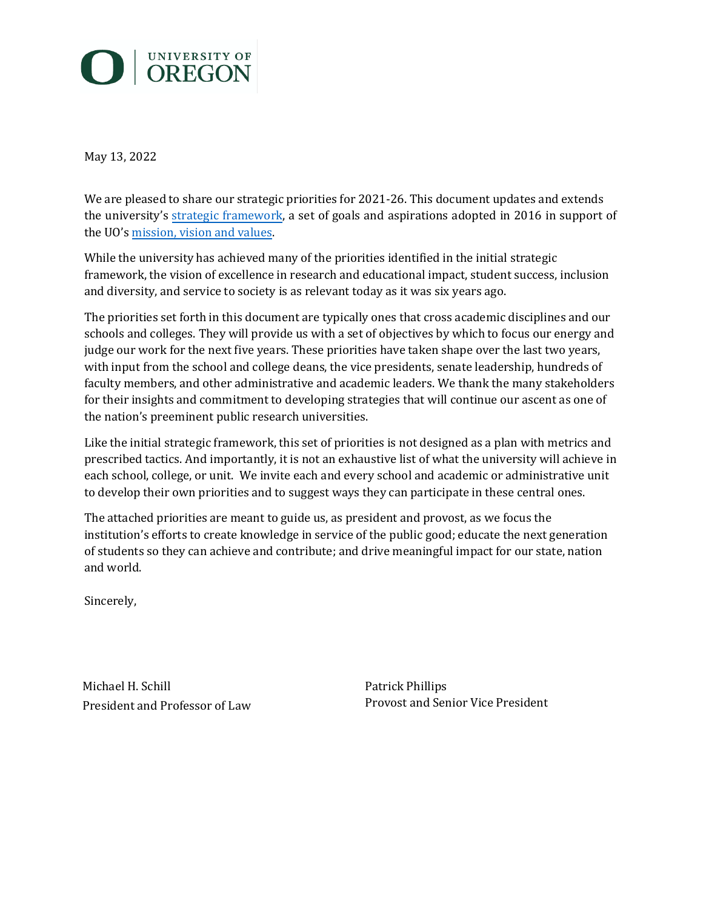# O | UNIVERSITY OF

May 13, 2022

We are pleased to share our strategic priorities for 2021-26. This document updates and extends the university's [strategic framework,](https://provost.uoregon.edu/files/strategic_framework_-_final_w_memo_and_app.pdf) a set of goals and aspi[rations adopted in 2016 in suppo](https://www.uoregon.edu/our-mission)rt of the UO's [mission, vision and values](https://www.uoregon.edu/our-mission).

While the university has achieved many of the priorities identified in the initial strategic framework, the vision of excellence in research and educational impact, student success, inclusion and diversity, and service to society is as relevant today as it was six years ago.

The priorities set forth in this document are typically ones that cross academic disciplines and our schools and colleges. They will provide us with a set of objectives by which to focus our energy and judge our work for the next five years. These priorities have taken shape over the last two years, with input from the school and college deans, the vice presidents, senate leadership, hundreds of faculty members, and other administrative and academic leaders. We thank the many stakeholders for their insights and commitment to developing strategies that will continue our ascent as one of the nation's preeminent public research universities.

Like the initial strategic framework, this set of priorities is not designed as a plan with metrics and prescribed tactics. And importantly, it is not an exhaustive list of what the university will achieve in each school, college, or unit. We invite each and every school and academic or administrative unit to develop their own priorities and to suggest ways they can participate in these central ones.

The attached priorities are meant to guide us, as president and provost, as we focus the institution's efforts to create knowledge in service of the public good; educate the next generation of students so they can achieve and contribute; and drive meaningful impact for our state, nation and world.

Sincerely,

Michael H. Schill President and Professor of Law Patrick Phillips Provost and Senior Vice President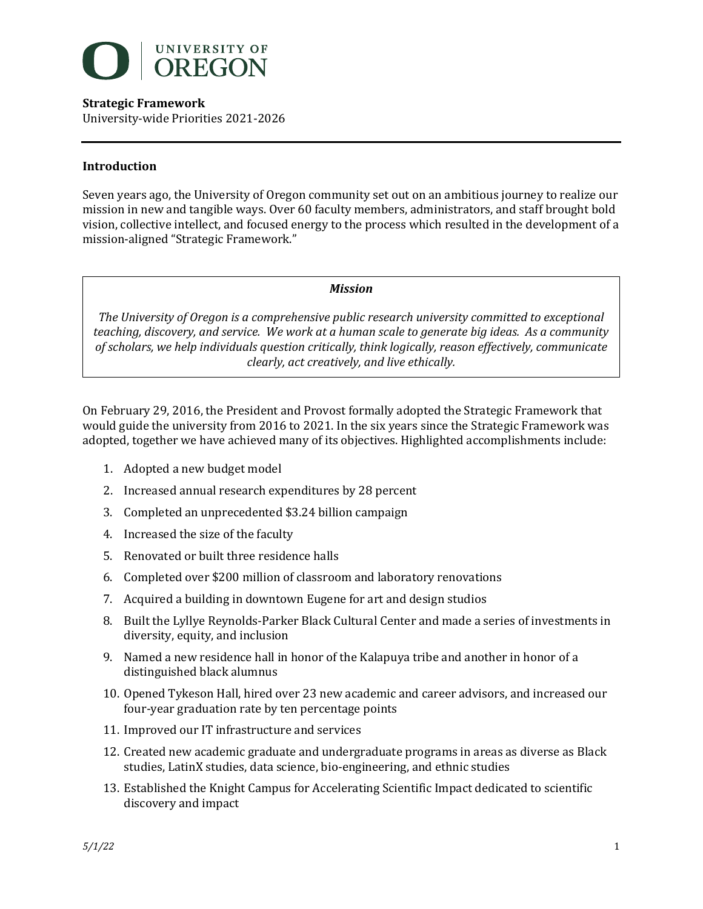

### **Introduction**

Seven years ago, the University of Oregon community set out on an ambitious journey to realize our mission in new and tangible ways. Over 60 faculty members, administrators, and staff brought bold vision, collective intellect, and focused energy to the process which resulted in the development of a mission-aligned "Strategic Framework."

#### *Mission*

The University of Oregon is a comprehensive public research university committed to exceptional teaching, discovery, and service. We work at a human scale to generate big ideas. As a community of scholars, we help individuals question critically, think logically, reason effectively, communicate *clearly, act creatively, and live ethically.*

On February 29, 2016, the President and Provost formally adopted the Strategic Framework that would guide the university from 2016 to 2021. In the six years since the Strategic Framework was adopted, together we have achieved many of its objectives. Highlighted accomplishments include:

- 1. Adopted a new budget model
- 2. Increased annual research expenditures by 28 percent
- 3. Completed an unprecedented \$3.24 billion campaign
- 4. Increased the size of the faculty
- 5. Renovated or built three residence halls
- 6. Completed over \$200 million of classroom and laboratory renovations
- 7. Acquired a building in downtown Eugene for art and design studios
- 8. Built the Lyllye Reynolds-Parker Black Cultural Center and made a series of investments in diversity, equity, and inclusion
- 9. Named a new residence hall in honor of the Kalapuya tribe and another in honor of a distinguished black alumnus
- 10. Opened Tykeson Hall, hired over 23 new academic and career advisors, and increased our four-year graduation rate by ten percentage points
- 11. Improved our IT infrastructure and services
- 12. Created new academic graduate and undergraduate programs in areas as diverse as Black studies, LatinX studies, data science, bio-engineering, and ethnic studies
- 13. Established the Knight Campus for Accelerating Scientific Impact dedicated to scientific discovery and impact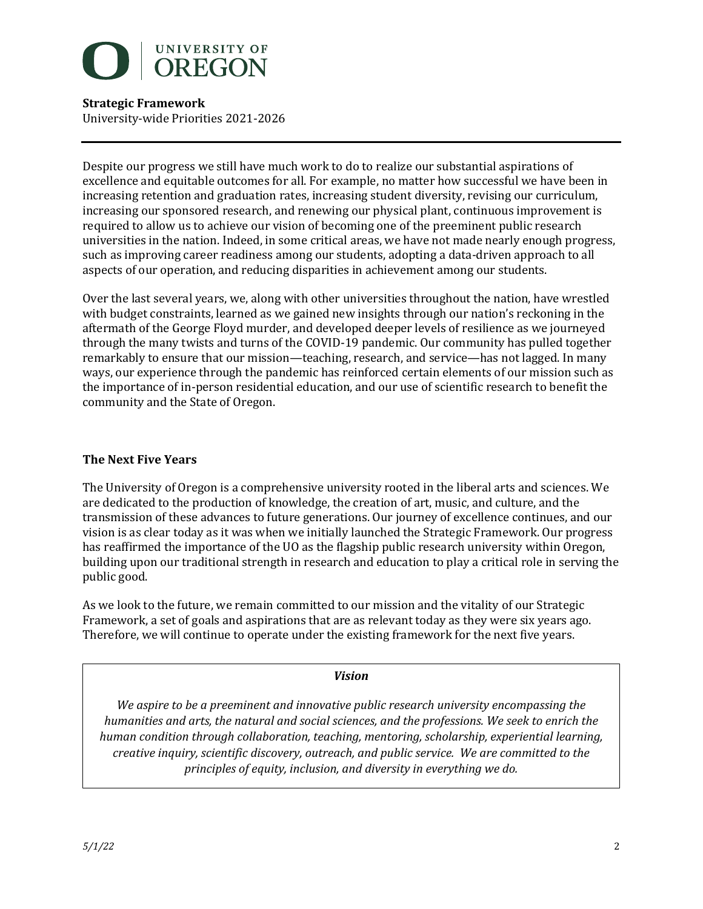

Despite our progress we still have much work to do to realize our substantial aspirations of excellence and equitable outcomes for all. For example, no matter how successful we have been in increasing retention and graduation rates, increasing student diversity, revising our curriculum, increasing our sponsored research, and renewing our physical plant, continuous improvement is required to allow us to achieve our vision of becoming one of the preeminent public research universities in the nation. Indeed, in some critical areas, we have not made nearly enough progress, such as improving career readiness among our students, adopting a data-driven approach to all aspects of our operation, and reducing disparities in achievement among our students.

Over the last several years, we, along with other universities throughout the nation, have wrestled with budget constraints, learned as we gained new insights through our nation's reckoning in the aftermath of the George Floyd murder, and developed deeper levels of resilience as we journeyed through the many twists and turns of the COVID-19 pandemic. Our community has pulled together remarkably to ensure that our mission—teaching, research, and service—has not lagged. In many ways, our experience through the pandemic has reinforced certain elements of our mission such as the importance of in-person residential education, and our use of scientific research to benefit the community and the State of Oregon.

## **The Next Five Years**

The University of Oregon is a comprehensive university rooted in the liberal arts and sciences. We are dedicated to the production of knowledge, the creation of art, music, and culture, and the transmission of these advances to future generations. Our journey of excellence continues, and our vision is as clear today as it was when we initially launched the Strategic Framework. Our progress has reaffirmed the importance of the UO as the flagship public research university within Oregon, building upon our traditional strength in research and education to play a critical role in serving the public good.

As we look to the future, we remain committed to our mission and the vitality of our Strategic Framework, a set of goals and aspirations that are as relevant today as they were six years ago. Therefore, we will continue to operate under the existing framework for the next five years.

#### *Vision*

We aspire to be a preeminent and innovative public research university encompassing the *humanities and arts, the natural and social sciences, and the professions. We seek to enrich the human condition through collaboration, teaching, mentoring, scholarship, experiential learning, creative inquiry, scientific discovery, outreach, and public service. We are committed to the principles of equity, inclusion, and diversity in everything we do.*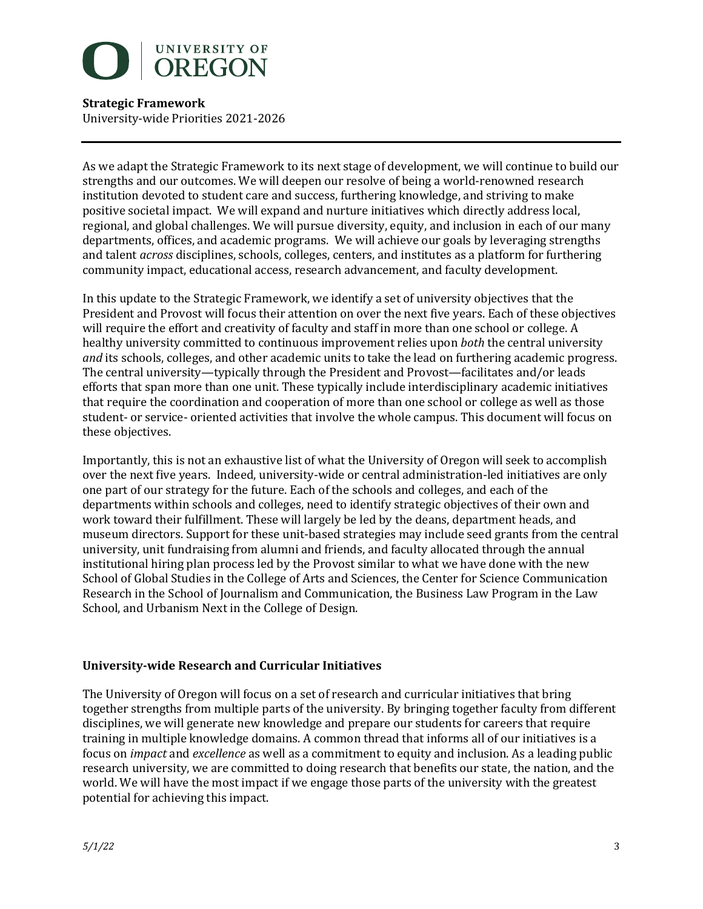

As we adapt the Strategic Framework to its next stage of development, we will continue to build our strengths and our outcomes. We will deepen our resolve of being a world-renowned research institution devoted to student care and success, furthering knowledge, and striving to make positive societal impact. We will expand and nurture initiatives which directly address local, regional, and global challenges. We will pursue diversity, equity, and inclusion in each of our many departments, offices, and academic programs. We will achieve our goals by leveraging strengths and talent *across* disciplines, schools, colleges, centers, and institutes as a platform for furthering community impact, educational access, research advancement, and faculty development.

In this update to the Strategic Framework, we identify a set of university objectives that the President and Provost will focus their attention on over the next five years. Each of these objectives will require the effort and creativity of faculty and staff in more than one school or college. A healthy university committed to continuous improvement relies upon *both* the central university *and* its schools, colleges, and other academic units to take the lead on furthering academic progress. The central university—typically through the President and Provost—facilitates and/or leads efforts that span more than one unit. These typically include interdisciplinary academic initiatives that require the coordination and cooperation of more than one school or college as well as those student- or service- oriented activities that involve the whole campus. This document will focus on these objectives.

Importantly, this is not an exhaustive list of what the University of Oregon will seek to accomplish over the next five years. Indeed, university-wide or central administration-led initiatives are only one part of our strategy for the future. Each of the schools and colleges, and each of the departments within schools and colleges, need to identify strategic objectives of their own and work toward their fulfillment. These will largely be led by the deans, department heads, and museum directors. Support for these unit-based strategies may include seed grants from the central university, unit fundraising from alumni and friends, and faculty allocated through the annual institutional hiring plan process led by the Provost similar to what we have done with the new School of Global Studies in the College of Arts and Sciences, the Center for Science Communication Research in the School of Journalism and Communication, the Business Law Program in the Law School, and Urbanism Next in the College of Design.

## **University-wide Research and Curricular Initiatives**

The University of Oregon will focus on a set of research and curricular initiatives that bring together strengths from multiple parts of the university. By bringing together faculty from different disciplines, we will generate new knowledge and prepare our students for careers that require training in multiple knowledge domains. A common thread that informs all of our initiatives is a focus on *impact* and *excellence* as well as a commitment to equity and inclusion. As a leading public research university, we are committed to doing research that benefits our state, the nation, and the world. We will have the most impact if we engage those parts of the university with the greatest potential for achieving this impact.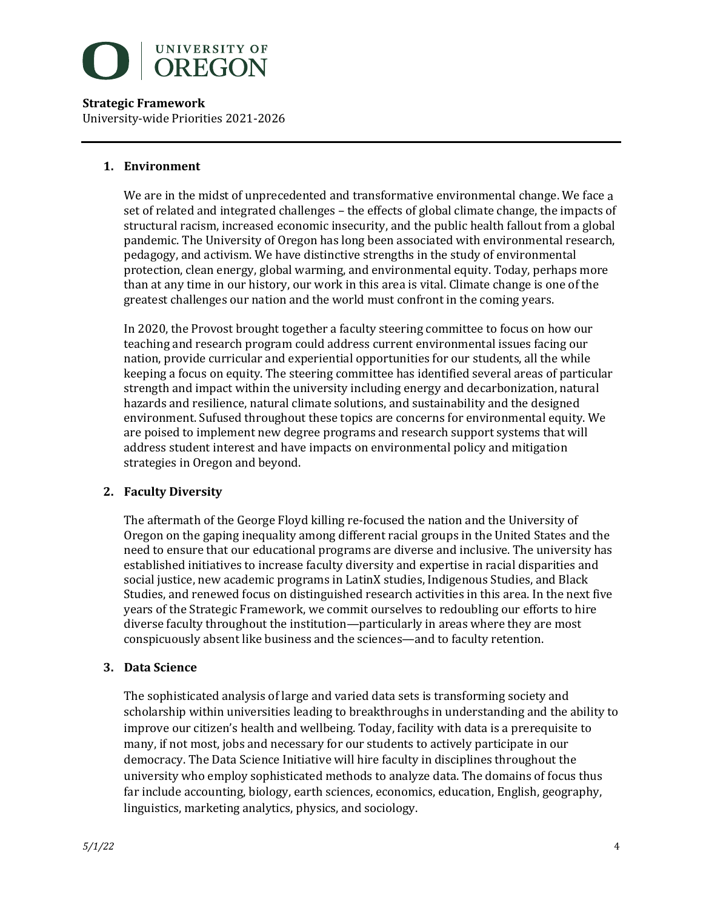

#### **1. Environment**

We are in the midst of unprecedented and transformative environmental change. We face a set of related and integrated challenges – the effects of global climate change, the impacts of structural racism, increased economic insecurity, and the public health fallout from a global pandemic. The University of Oregon has long been associated with environmental research, pedagogy, and activism. We have distinctive strengths in the study of environmental protection, clean energy, global warming, and environmental equity. Today, perhaps more than at any time in our history, our work in this area is vital. Climate change is one of the greatest challenges our nation and the world must confront in the coming years.

In 2020, the Provost brought together a faculty steering committee to focus on how our teaching and research program could address current environmental issues facing our nation, provide curricular and experiential opportunities for our students, all the while keeping a focus on equity. The steering committee has identified several areas of particular strength and impact within the university including energy and decarbonization, natural hazards and resilience, natural climate solutions, and sustainability and the designed environment. Sufused throughout these topics are concerns for environmental equity. We are poised to implement new degree programs and research support systems that will address student interest and have impacts on environmental policy and mitigation strategies in Oregon and beyond.

## **2. Faculty Diversity**

The aftermath of the George Floyd killing re-focused the nation and the University of Oregon on the gaping inequality among different racial groups in the United States and the need to ensure that our educational programs are diverse and inclusive. The university has established initiatives to increase faculty diversity and expertise in racial disparities and social justice, new academic programs in LatinX studies, Indigenous Studies, and Black Studies, and renewed focus on distinguished research activities in this area. In the next five years of the Strategic Framework, we commit ourselves to redoubling our efforts to hire diverse faculty throughout the institution—particularly in areas where they are most conspicuously absent like business and the sciences—and to faculty retention.

## **3. Data Science**

The sophisticated analysis of large and varied data sets is transforming society and scholarship within universities leading to breakthroughs in understanding and the ability to improve our citizen's health and wellbeing. Today, facility with data is a prerequisite to many, if not most, jobs and necessary for our students to actively participate in our democracy. The Data Science Initiative will hire faculty in disciplines throughout the university who employ sophisticated methods to analyze data. The domains of focus thus far include accounting, biology, earth sciences, economics, education, English, geography, linguistics, marketing analytics, physics, and sociology.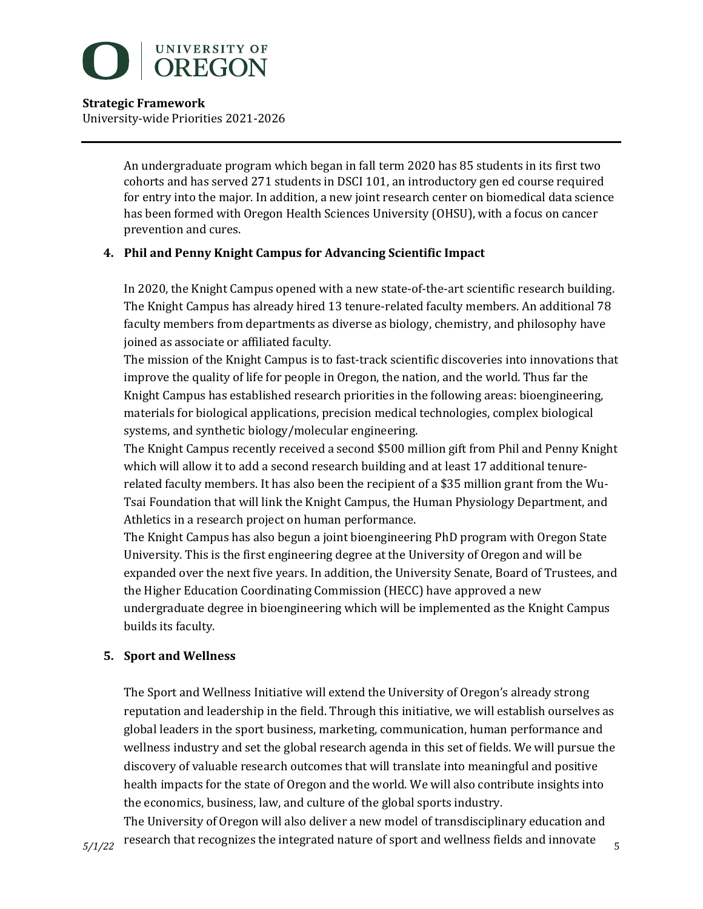

> An undergraduate program which began in fall term 2020 has 85 students in its first two cohorts and has served 271 students in DSCI 101, an introductory gen ed course required for entry into the major. In addition, a new joint research center on biomedical data science has been formed with Oregon Health Sciences University (OHSU), with a focus on cancer prevention and cures.

# **4. Phil and Penny Knight Campus for Advancing Scientific Impact**

In 2020, the Knight Campus opened with a new state-of-the-art scientific research building. The Knight Campus has already hired 13 tenure-related faculty members. An additional 78 faculty members from departments as diverse as biology, chemistry, and philosophy have joined as associate or affiliated faculty.

The mission of the Knight Campus is to fast-track scientific discoveries into innovations that improve the quality of life for people in Oregon, the nation, and the world. Thus far the Knight Campus has established research priorities in the following areas: bioengineering, materials for biological applications, precision medical technologies, complex biological systems, and synthetic biology/molecular engineering.

The Knight Campus recently received a second \$500 million gift from Phil and Penny Knight which will allow it to add a second research building and at least 17 additional tenurerelated faculty members. It has also been the recipient of a \$35 million grant from the Wu-Tsai Foundation that will link the Knight Campus, the Human Physiology Department, and Athletics in a research project on human performance.

The Knight Campus has also begun a joint bioengineering PhD program with Oregon State University. This is the first engineering degree at the University of Oregon and will be expanded over the next five years. In addition, the University Senate, Board of Trustees, and the Higher Education Coordinating Commission (HECC) have approved a new undergraduate degree in bioengineering which will be implemented as the Knight Campus builds its faculty.

# **5. Sport and Wellness**

The Sport and Wellness Initiative will extend the University of Oregon's already strong reputation and leadership in the field. Through this initiative, we will establish ourselves as global leaders in the sport business, marketing, communication, human performance and wellness industry and set the global research agenda in this set of fields. We will pursue the discovery of valuable research outcomes that will translate into meaningful and positive health impacts for the state of Oregon and the world. We will also contribute insights into the economics, business, law, and culture of the global sports industry.

 $5/1/22$  research that recognizes the integrated nature of sport and wellness fields and innovate  $5/1/22$ The University of Oregon will also deliver a new model of transdisciplinary education and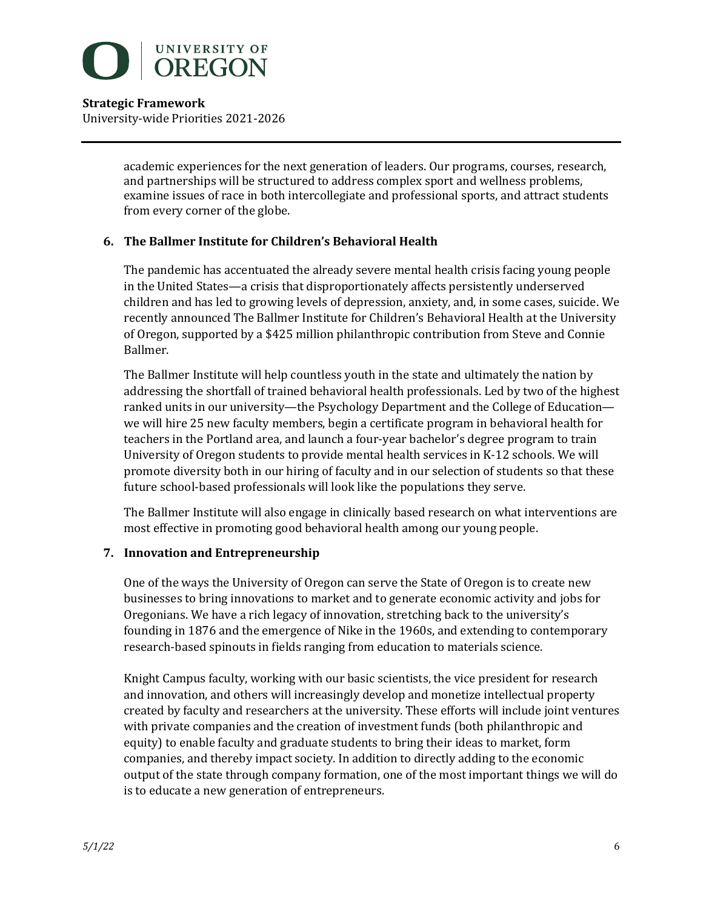

> academic experiences for the next generation of leaders. Our programs, courses, research, and partnerships will be structured to address complex sport and wellness problems, examine issues of race in both intercollegiate and professional sports, and attract students from every corner of the globe.

# **6. The Ballmer Institute for Children's Behavioral Health**

The pandemic has accentuated the already severe mental health crisis facing young people in the United States—a crisis that disproportionately affects persistently underserved children and has led to growing levels of depression, anxiety, and, in some cases, suicide. We recently announced The Ballmer Institute for Children's Behavioral Health at the University of Oregon, supported by a \$425 million philanthropic contribution from Steve and Connie Ballmer.

The Ballmer Institute will help countless youth in the state and ultimately the nation by addressing the shortfall of trained behavioral health professionals. Led by two of the highest ranked units in our university—the Psychology Department and the College of Education we will hire 25 new faculty members, begin a certificate program in behavioral health for teachers in the Portland area, and launch a four-year bachelor's degree program to train University of Oregon students to provide mental health services in K-12 schools. We will promote diversity both in our hiring of faculty and in our selection of students so that these future school-based professionals will look like the populations they serve.

The Ballmer Institute will also engage in clinically based research on what interventions are most effective in promoting good behavioral health among our young people.

## **7. Innovation and Entrepreneurship**

One of the ways the University of Oregon can serve the State of Oregon is to create new businesses to bring innovations to market and to generate economic activity and jobs for Oregonians. We have a rich legacy of innovation, stretching back to the university's founding in 1876 and the emergence of Nike in the 1960s, and extending to contemporary research-based spinouts in fields ranging from education to materials science.

Knight Campus faculty, working with our basic scientists, the vice president for research and innovation, and others will increasingly develop and monetize intellectual property created by faculty and researchers at the university. These efforts will include joint ventures with private companies and the creation of investment funds (both philanthropic and equity) to enable faculty and graduate students to bring their ideas to market, form companies, and thereby impact society. In addition to directly adding to the economic output of the state through company formation, one of the most important things we will do is to educate a new generation of entrepreneurs.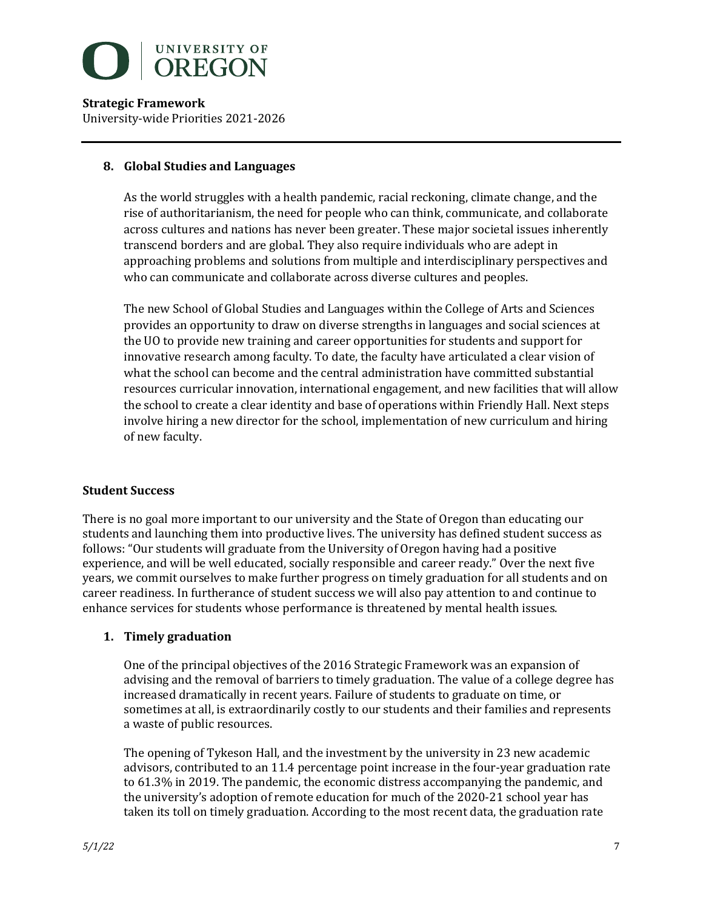

### **8. Global Studies and Languages**

As the world struggles with a health pandemic, racial reckoning, climate change, and the rise of authoritarianism, the need for people who can think, communicate, and collaborate across cultures and nations has never been greater. These major societal issues inherently transcend borders and are global. They also require individuals who are adept in approaching problems and solutions from multiple and interdisciplinary perspectives and who can communicate and collaborate across diverse cultures and peoples.

The new School of Global Studies and Languages within the College of Arts and Sciences provides an opportunity to draw on diverse strengths in languages and social sciences at the UO to provide new training and career opportunities for students and support for innovative research among faculty. To date, the faculty have articulated a clear vision of what the school can become and the central administration have committed substantial resources curricular innovation, international engagement, and new facilities that will allow the school to create a clear identity and base of operations within Friendly Hall. Next steps involve hiring a new director for the school, implementation of new curriculum and hiring of new faculty.

#### **Student Success**

There is no goal more important to our university and the State of Oregon than educating our students and launching them into productive lives. The university has defined student success as follows: "Our students will graduate from the University of Oregon having had a positive experience, and will be well educated, socially responsible and career ready." Over the next five years, we commit ourselves to make further progress on timely graduation for all students and on career readiness. In furtherance of student success we will also pay attention to and continue to enhance services for students whose performance is threatened by mental health issues.

## **1. Timely graduation**

One of the principal objectives of the 2016 Strategic Framework was an expansion of advising and the removal of barriers to timely graduation. The value of a college degree has increased dramatically in recent years. Failure of students to graduate on time, or sometimes at all, is extraordinarily costly to our students and their families and represents a waste of public resources.

The opening of Tykeson Hall, and the investment by the university in 23 new academic advisors, contributed to an 11.4 percentage point increase in the four-year graduation rate to 61.3% in 2019. The pandemic, the economic distress accompanying the pandemic, and the university's adoption of remote education for much of the 2020-21 school year has taken its toll on timely graduation. According to the most recent data, the graduation rate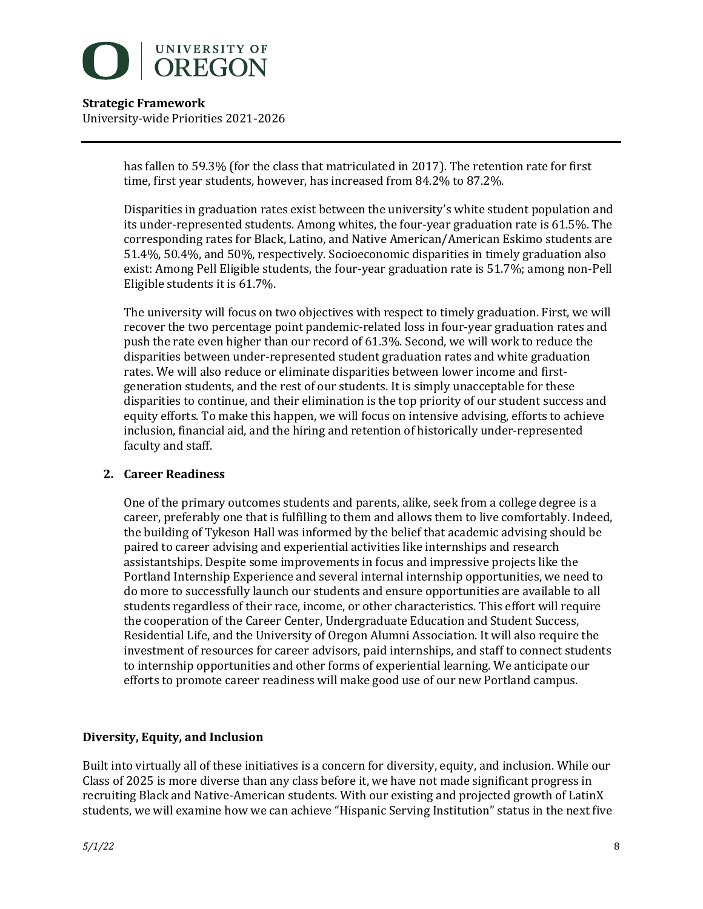

> has fallen to 59.3% (for the class that matriculated in 2017). The retention rate for first time, first year students, however, has increased from  $84.2\%$  to  $87.2\%$ .

Disparities in graduation rates exist between the university's white student population and its under-represented students. Among whites, the four-year graduation rate is 61.5%. The corresponding rates for Black, Latino, and Native American/American Eskimo students are 51.4%, 50.4%, and 50%, respectively. Socioeconomic disparities in timely graduation also exist: Among Pell Eligible students, the four-year graduation rate is 51.7%; among non-Pell Eligible students it is 61.7%.

The university will focus on two objectives with respect to timely graduation. First, we will recover the two percentage point pandemic-related loss in four-year graduation rates and push the rate even higher than our record of 61.3%. Second, we will work to reduce the disparities between under-represented student graduation rates and white graduation rates. We will also reduce or eliminate disparities between lower income and firstgeneration students, and the rest of our students. It is simply unacceptable for these disparities to continue, and their elimination is the top priority of our student success and equity efforts. To make this happen, we will focus on intensive advising, efforts to achieve inclusion, financial aid, and the hiring and retention of historically under-represented faculty and staff.

## **2. Career Readiness**

One of the primary outcomes students and parents, alike, seek from a college degree is a career, preferably one that is fulfilling to them and allows them to live comfortably. Indeed, the building of Tykeson Hall was informed by the belief that academic advising should be paired to career advising and experiential activities like internships and research assistantships. Despite some improvements in focus and impressive projects like the Portland Internship Experience and several internal internship opportunities, we need to do more to successfully launch our students and ensure opportunities are available to all students regardless of their race, income, or other characteristics. This effort will require the cooperation of the Career Center, Undergraduate Education and Student Success, Residential Life, and the University of Oregon Alumni Association. It will also require the investment of resources for career advisors, paid internships, and staff to connect students to internship opportunities and other forms of experiential learning. We anticipate our efforts to promote career readiness will make good use of our new Portland campus.

## **Diversity, Equity, and Inclusion**

Built into virtually all of these initiatives is a concern for diversity, equity, and inclusion. While our Class of 2025 is more diverse than any class before it, we have not made significant progress in recruiting Black and Native-American students. With our existing and projected growth of LatinX students, we will examine how we can achieve "Hispanic Serving Institution" status in the next five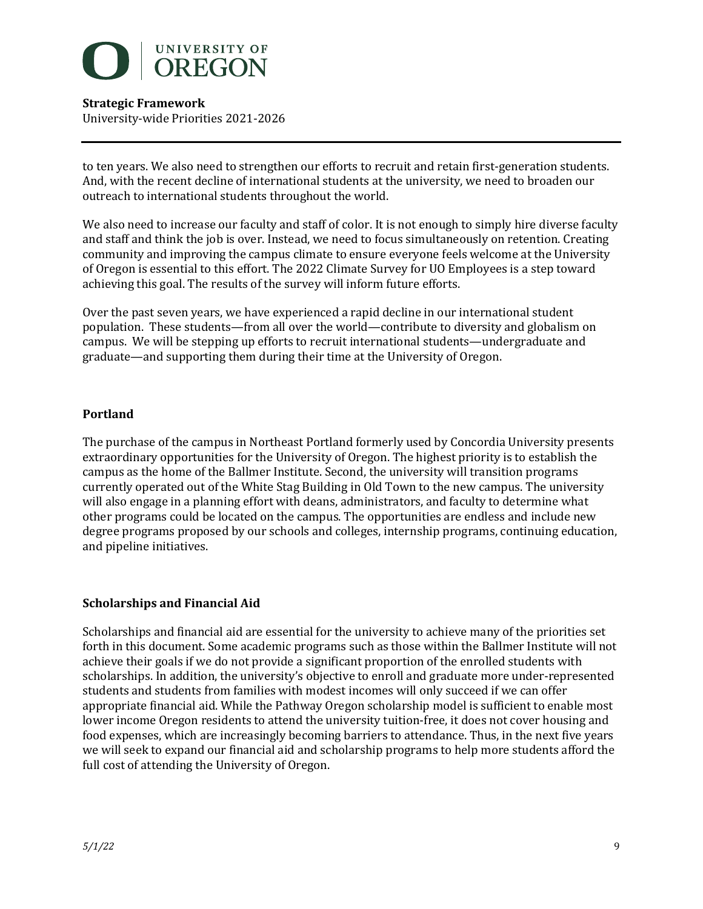

to ten years. We also need to strengthen our efforts to recruit and retain first-generation students. And, with the recent decline of international students at the university, we need to broaden our outreach to international students throughout the world.

We also need to increase our faculty and staff of color. It is not enough to simply hire diverse faculty and staff and think the job is over. Instead, we need to focus simultaneously on retention. Creating community and improving the campus climate to ensure everyone feels welcome at the University of Oregon is essential to this effort. The 2022 Climate Survey for UO Employees is a step toward achieving this goal. The results of the survey will inform future efforts.

Over the past seven years, we have experienced a rapid decline in our international student population. These students—from all over the world—contribute to diversity and globalism on campus. We will be stepping up efforts to recruit international students—undergraduate and graduate—and supporting them during their time at the University of Oregon.

## **Portland**

The purchase of the campus in Northeast Portland formerly used by Concordia University presents extraordinary opportunities for the University of Oregon. The highest priority is to establish the campus as the home of the Ballmer Institute. Second, the university will transition programs currently operated out of the White Stag Building in Old Town to the new campus. The university will also engage in a planning effort with deans, administrators, and faculty to determine what other programs could be located on the campus. The opportunities are endless and include new degree programs proposed by our schools and colleges, internship programs, continuing education, and pipeline initiatives.

## **Scholarships and Financial Aid**

Scholarships and financial aid are essential for the university to achieve many of the priorities set forth in this document. Some academic programs such as those within the Ballmer Institute will not achieve their goals if we do not provide a significant proportion of the enrolled students with scholarships. In addition, the university's objective to enroll and graduate more under-represented students and students from families with modest incomes will only succeed if we can offer appropriate financial aid. While the Pathway Oregon scholarship model is sufficient to enable most lower income Oregon residents to attend the university tuition-free, it does not cover housing and food expenses, which are increasingly becoming barriers to attendance. Thus, in the next five years we will seek to expand our financial aid and scholarship programs to help more students afford the full cost of attending the University of Oregon.